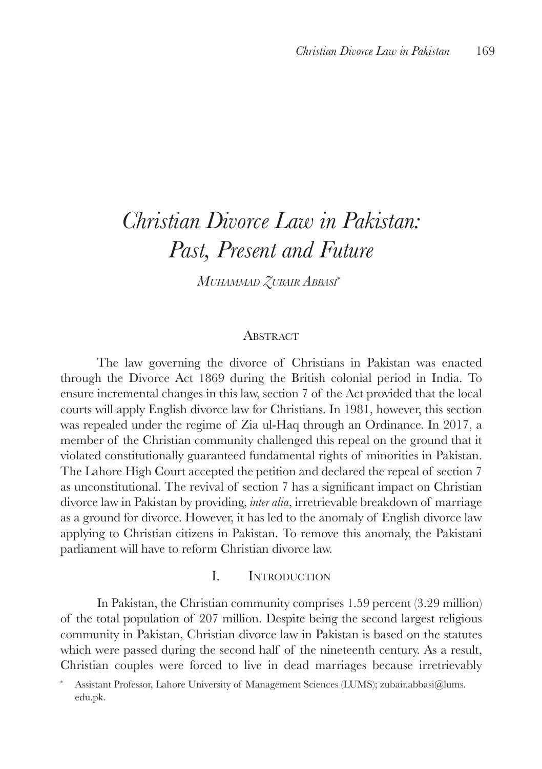# *Christian Divorce Law in Pakistan: Past, Present and Future*

 $M$ *UHAMMAD ZUBAIR ABBASI*<sup>∗</sup>

#### **ABSTRACT**

The law governing the divorce of Christians in Pakistan was enacted through the Divorce Act 1869 during the British colonial period in India. To ensure incremental changes in this law, section 7 of the Act provided that the local courts will apply English divorce law for Christians. In 1981, however, this section was repealed under the regime of Zia ul-Haq through an Ordinance. In 2017, a member of the Christian community challenged this repeal on the ground that it violated constitutionally guaranteed fundamental rights of minorities in Pakistan. The Lahore High Court accepted the petition and declared the repeal of section 7 as unconstitutional. The revival of section 7 has a significant impact on Christian divorce law in Pakistan by providing, *inter alia*, irretrievable breakdown of marriage as a ground for divorce. However, it has led to the anomaly of English divorce law applying to Christian citizens in Pakistan. To remove this anomaly, the Pakistani parliament will have to reform Christian divorce law.

### I. Introduction

In Pakistan, the Christian community comprises 1.59 percent (3.29 million) of the total population of 207 million. Despite being the second largest religious community in Pakistan, Christian divorce law in Pakistan is based on the statutes which were passed during the second half of the nineteenth century. As a result, Christian couples were forced to live in dead marriages because irretrievably

<sup>\*</sup> Assistant Professor, Lahore University of Management Sciences (LUMS); zubair.abbasi@lums. edu.pk.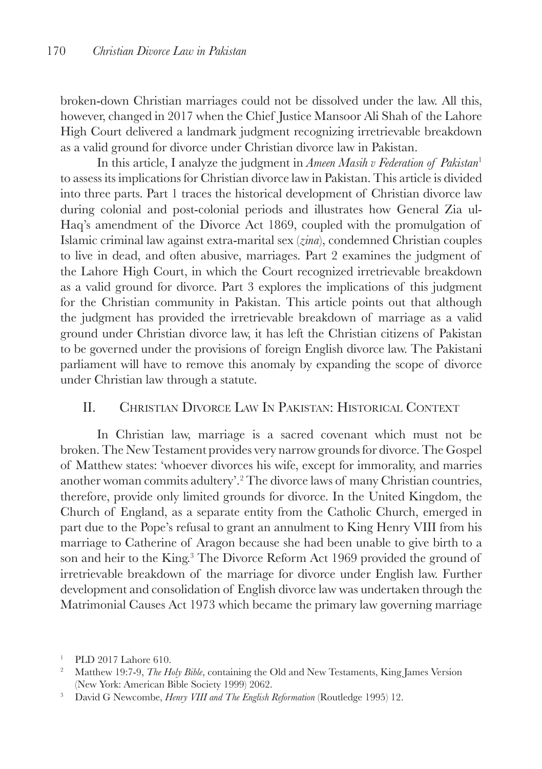broken-down Christian marriages could not be dissolved under the law. All this, however, changed in 2017 when the Chief Justice Mansoor Ali Shah of the Lahore High Court delivered a landmark judgment recognizing irretrievable breakdown as a valid ground for divorce under Christian divorce law in Pakistan.

In this article, I analyze the judgment in *Ameen Masih v Federation of Pakistan*<sup>1</sup> to assess its implications for Christian divorce law in Pakistan. This article is divided into three parts. Part 1 traces the historical development of Christian divorce law during colonial and post-colonial periods and illustrates how General Zia ul-Haq's amendment of the Divorce Act 1869, coupled with the promulgation of Islamic criminal law against extra-marital sex (*zina*), condemned Christian couples to live in dead, and often abusive, marriages. Part 2 examines the judgment of the Lahore High Court, in which the Court recognized irretrievable breakdown as a valid ground for divorce. Part 3 explores the implications of this judgment for the Christian community in Pakistan. This article points out that although the judgment has provided the irretrievable breakdown of marriage as a valid ground under Christian divorce law, it has left the Christian citizens of Pakistan to be governed under the provisions of foreign English divorce law. The Pakistani parliament will have to remove this anomaly by expanding the scope of divorce under Christian law through a statute.

# II. Christian Divorce Law In Pakistan: Historical Context

In Christian law, marriage is a sacred covenant which must not be broken. The New Testament provides very narrow grounds for divorce. The Gospel of Matthew states: 'whoever divorces his wife, except for immorality, and marries another woman commits adultery'.2 The divorce laws of many Christian countries, therefore, provide only limited grounds for divorce. In the United Kingdom, the Church of England, as a separate entity from the Catholic Church, emerged in part due to the Pope's refusal to grant an annulment to King Henry VIII from his marriage to Catherine of Aragon because she had been unable to give birth to a son and heir to the King.3 The Divorce Reform Act 1969 provided the ground of irretrievable breakdown of the marriage for divorce under English law. Further development and consolidation of English divorce law was undertaken through the Matrimonial Causes Act 1973 which became the primary law governing marriage

<sup>1</sup> PLD 2017 Lahore 610.

<sup>&</sup>lt;sup>2</sup> Matthew 19:7-9, *The Holy Bible*, containing the Old and New Testaments, King James Version (New York: American Bible Society 1999) 2062.

<sup>3</sup> David G Newcombe, *Henry VIII and The English Reformation* (Routledge 1995) 12.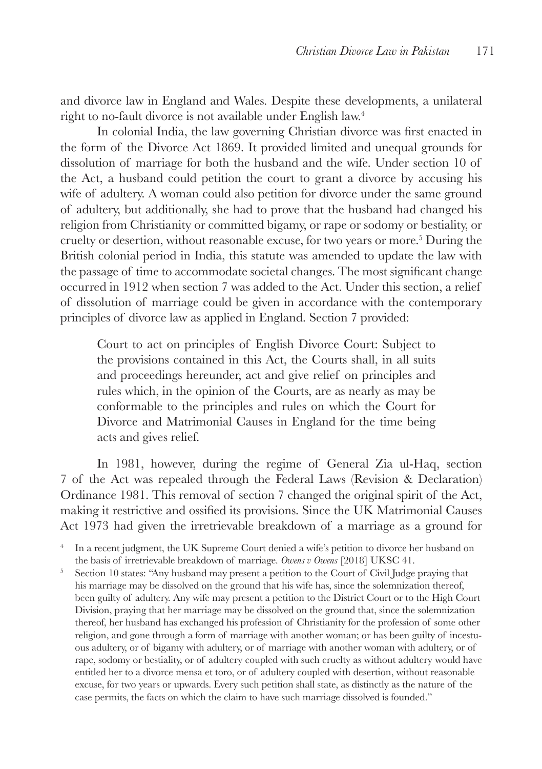and divorce law in England and Wales. Despite these developments, a unilateral right to no-fault divorce is not available under English law.4

In colonial India, the law governing Christian divorce was first enacted in the form of the Divorce Act 1869. It provided limited and unequal grounds for dissolution of marriage for both the husband and the wife. Under section 10 of the Act, a husband could petition the court to grant a divorce by accusing his wife of adultery. A woman could also petition for divorce under the same ground of adultery, but additionally, she had to prove that the husband had changed his religion from Christianity or committed bigamy, or rape or sodomy or bestiality, or cruelty or desertion, without reasonable excuse, for two years or more.<sup>5</sup> During the British colonial period in India, this statute was amended to update the law with the passage of time to accommodate societal changes. The most significant change occurred in 1912 when section 7 was added to the Act. Under this section, a relief of dissolution of marriage could be given in accordance with the contemporary principles of divorce law as applied in England. Section 7 provided:

Court to act on principles of English Divorce Court: Subject to the provisions contained in this Act, the Courts shall, in all suits and proceedings hereunder, act and give relief on principles and rules which, in the opinion of the Courts, are as nearly as may be conformable to the principles and rules on which the Court for Divorce and Matrimonial Causes in England for the time being acts and gives relief.

In 1981, however, during the regime of General Zia ul-Haq, section 7 of the Act was repealed through the Federal Laws (Revision & Declaration) Ordinance 1981. This removal of section 7 changed the original spirit of the Act, making it restrictive and ossified its provisions. Since the UK Matrimonial Causes Act 1973 had given the irretrievable breakdown of a marriage as a ground for

<sup>4</sup> In a recent judgment, the UK Supreme Court denied a wife's petition to divorce her husband on the basis of irretrievable breakdown of marriage. *Owens v Owens* [2018] UKSC 41.

<sup>5</sup> Section 10 states: "Any husband may present a petition to the Court of Civil Judge praying that his marriage may be dissolved on the ground that his wife has, since the solemnization thereof, been guilty of adultery. Any wife may present a petition to the District Court or to the High Court Division, praying that her marriage may be dissolved on the ground that, since the solemnization thereof, her husband has exchanged his profession of Christianity for the profession of some other religion, and gone through a form of marriage with another woman; or has been guilty of incestuous adultery, or of bigamy with adultery, or of marriage with another woman with adultery, or of rape, sodomy or bestiality, or of adultery coupled with such cruelty as without adultery would have entitled her to a divorce mensa et toro, or of adultery coupled with desertion, without reasonable excuse, for two years or upwards. Every such petition shall state, as distinctly as the nature of the case permits, the facts on which the claim to have such marriage dissolved is founded."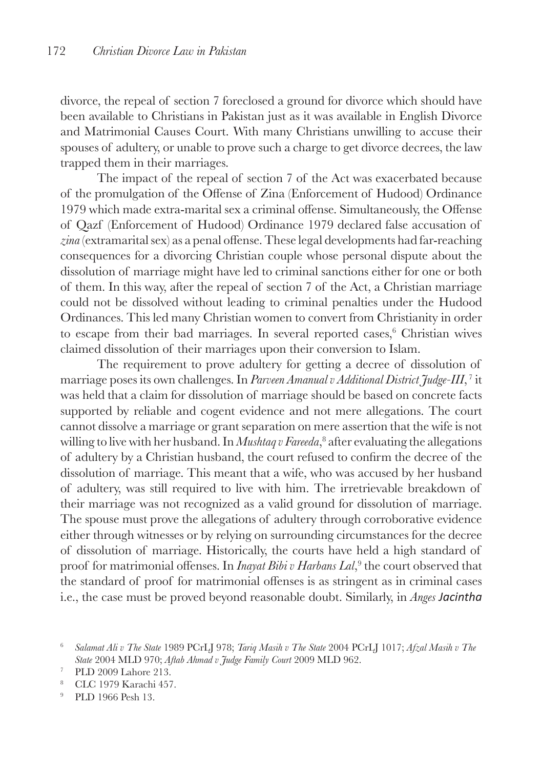divorce, the repeal of section 7 foreclosed a ground for divorce which should have been available to Christians in Pakistan just as it was available in English Divorce and Matrimonial Causes Court. With many Christians unwilling to accuse their spouses of adultery, or unable to prove such a charge to get divorce decrees, the law trapped them in their marriages.

The impact of the repeal of section 7 of the Act was exacerbated because of the promulgation of the Offense of Zina (Enforcement of Hudood) Ordinance 1979 which made extra-marital sex a criminal offense. Simultaneously, the Offense of Qazf (Enforcement of Hudood) Ordinance 1979 declared false accusation of *zina* (extramarital sex) as a penal offense. These legal developments had far-reaching consequences for a divorcing Christian couple whose personal dispute about the dissolution of marriage might have led to criminal sanctions either for one or both of them. In this way, after the repeal of section 7 of the Act, a Christian marriage could not be dissolved without leading to criminal penalties under the Hudood Ordinances. This led many Christian women to convert from Christianity in order to escape from their bad marriages. In several reported cases,<sup>6</sup> Christian wives claimed dissolution of their marriages upon their conversion to Islam.

The requirement to prove adultery for getting a decree of dissolution of marriage poses its own challenges. In *Parveen Amanual v Additional District Judge-III*, <sup>7</sup> it was held that a claim for dissolution of marriage should be based on concrete facts supported by reliable and cogent evidence and not mere allegations. The court cannot dissolve a marriage or grant separation on mere assertion that the wife is not willing to live with her husband. In *Mushtaq v Fareeda*, 8 after evaluating the allegations of adultery by a Christian husband, the court refused to confirm the decree of the dissolution of marriage. This meant that a wife, who was accused by her husband of adultery, was still required to live with him. The irretrievable breakdown of their marriage was not recognized as a valid ground for dissolution of marriage. The spouse must prove the allegations of adultery through corroborative evidence either through witnesses or by relying on surrounding circumstances for the decree of dissolution of marriage. Historically, the courts have held a high standard of proof for matrimonial offenses. In *Inayat Bibi v Harbans Lal*,<sup>9</sup> the court observed that the standard of proof for matrimonial offenses is as stringent as in criminal cases i.e., the case must be proved beyond reasonable doubt. Similarly, in *Anges Jacintha* 

<sup>6</sup> *Salamat Ali v The State* 1989 PCrLJ 978; *Tariq Masih v The State* 2004 PCrLJ 1017; *Afzal Masih v The State* 2004 MLD 970; *Aftab Ahmad v Judge Family Court* 2009 MLD 962.

<sup>7</sup> PLD 2009 Lahore 213.

<sup>8</sup> CLC 1979 Karachi 457.

<sup>9</sup> PLD 1966 Pesh 13.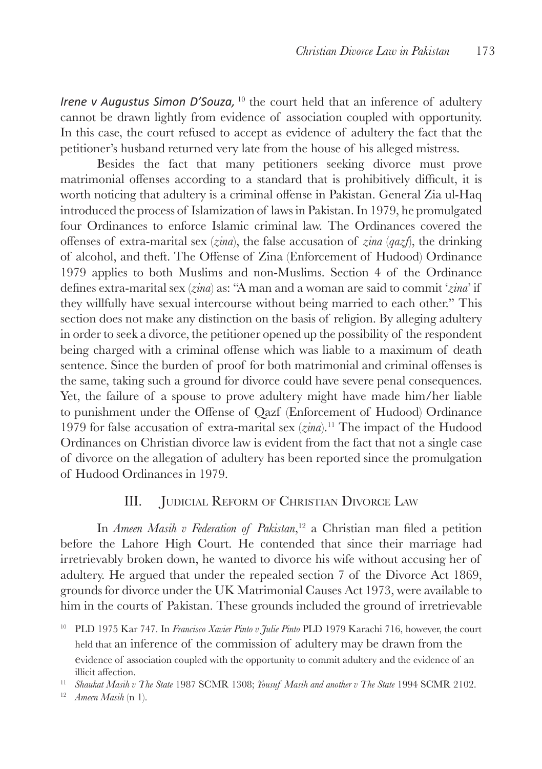*Irene v Augustus Simon D'Souza*, <sup>10</sup> the court held that an inference of adultery cannot be drawn lightly from evidence of association coupled with opportunity. In this case, the court refused to accept as evidence of adultery the fact that the petitioner's husband returned very late from the house of his alleged mistress.

Besides the fact that many petitioners seeking divorce must prove matrimonial offenses according to a standard that is prohibitively difficult, it is worth noticing that adultery is a criminal offense in Pakistan. General Zia ul-Haq introduced the process of Islamization of laws in Pakistan. In 1979, he promulgated four Ordinances to enforce Islamic criminal law. The Ordinances covered the offenses of extra-marital sex (*zina*), the false accusation of *zina* (*qazf*), the drinking of alcohol, and theft. The Offense of Zina (Enforcement of Hudood) Ordinance 1979 applies to both Muslims and non-Muslims. Section 4 of the Ordinance defines extra-marital sex (*zina*) as: "A man and a woman are said to commit '*zina*' if they willfully have sexual intercourse without being married to each other." This section does not make any distinction on the basis of religion. By alleging adultery in order to seek a divorce, the petitioner opened up the possibility of the respondent being charged with a criminal offense which was liable to a maximum of death sentence. Since the burden of proof for both matrimonial and criminal offenses is the same, taking such a ground for divorce could have severe penal consequences. Yet, the failure of a spouse to prove adultery might have made him/her liable to punishment under the Offense of Qazf (Enforcement of Hudood) Ordinance 1979 for false accusation of extra-marital sex (*zina*).11 The impact of the Hudood Ordinances on Christian divorce law is evident from the fact that not a single case of divorce on the allegation of adultery has been reported since the promulgation of Hudood Ordinances in 1979.

### III. Judicial Reform of Christian Divorce Law

In *Ameen Masih v Federation of Pakistan*, <sup>12</sup> a Christian man filed a petition before the Lahore High Court. He contended that since their marriage had irretrievably broken down, he wanted to divorce his wife without accusing her of adultery. He argued that under the repealed section 7 of the Divorce Act 1869, grounds for divorce under the UK Matrimonial Causes Act 1973, were available to him in the courts of Pakistan. These grounds included the ground of irretrievable

<sup>10</sup> PLD 1975 Kar 747. In *Francisco Xavier Pinto v Julie Pinto* PLD 1979 Karachi 716, however, the court held that an inference of the commission of adultery may be drawn from the evidence of association coupled with the opportunity to commit adultery and the evidence of an illicit affection.

<sup>11</sup> *Shaukat Masih v The State* 1987 SCMR 1308; *Yousuf Masih and another v The State* 1994 SCMR 2102.

<sup>12</sup> *Ameen Masih* (n 1).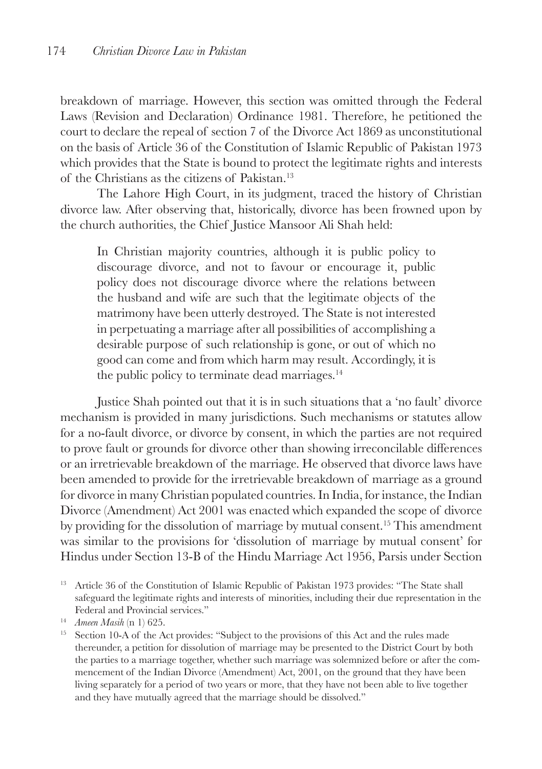breakdown of marriage. However, this section was omitted through the Federal Laws (Revision and Declaration) Ordinance 1981. Therefore, he petitioned the court to declare the repeal of section 7 of the Divorce Act 1869 as unconstitutional on the basis of Article 36 of the Constitution of Islamic Republic of Pakistan 1973 which provides that the State is bound to protect the legitimate rights and interests of the Christians as the citizens of Pakistan.13

The Lahore High Court, in its judgment, traced the history of Christian divorce law. After observing that, historically, divorce has been frowned upon by the church authorities, the Chief Justice Mansoor Ali Shah held:

In Christian majority countries, although it is public policy to discourage divorce, and not to favour or encourage it, public policy does not discourage divorce where the relations between the husband and wife are such that the legitimate objects of the matrimony have been utterly destroyed. The State is not interested in perpetuating a marriage after all possibilities of accomplishing a desirable purpose of such relationship is gone, or out of which no good can come and from which harm may result. Accordingly, it is the public policy to terminate dead marriages.<sup>14</sup>

Justice Shah pointed out that it is in such situations that a 'no fault' divorce mechanism is provided in many jurisdictions. Such mechanisms or statutes allow for a no-fault divorce, or divorce by consent, in which the parties are not required to prove fault or grounds for divorce other than showing irreconcilable differences or an irretrievable breakdown of the marriage. He observed that divorce laws have been amended to provide for the irretrievable breakdown of marriage as a ground for divorce in many Christian populated countries. In India, for instance, the Indian Divorce (Amendment) Act 2001 was enacted which expanded the scope of divorce by providing for the dissolution of marriage by mutual consent.15 This amendment was similar to the provisions for 'dissolution of marriage by mutual consent' for Hindus under Section 13-B of the Hindu Marriage Act 1956, Parsis under Section

<sup>&</sup>lt;sup>13</sup> Article 36 of the Constitution of Islamic Republic of Pakistan 1973 provides: "The State shall safeguard the legitimate rights and interests of minorities, including their due representation in the Federal and Provincial services."

<sup>14</sup> *Ameen Masih* (n 1) 625.

<sup>&</sup>lt;sup>15</sup> Section 10-A of the Act provides: "Subject to the provisions of this Act and the rules made thereunder, a petition for dissolution of marriage may be presented to the District Court by both the parties to a marriage together, whether such marriage was solemnized before or after the commencement of the Indian Divorce (Amendment) Act, 2001, on the ground that they have been living separately for a period of two years or more, that they have not been able to live together and they have mutually agreed that the marriage should be dissolved."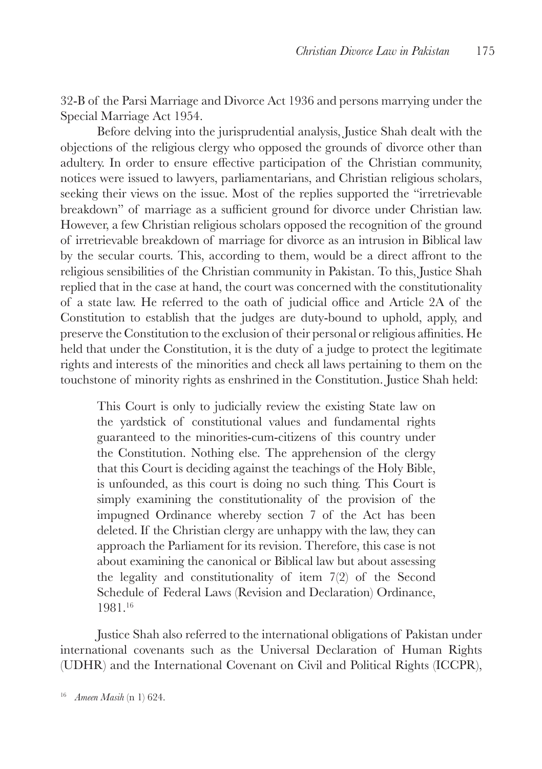32-B of the Parsi Marriage and Divorce Act 1936 and persons marrying under the Special Marriage Act 1954.

Before delving into the jurisprudential analysis, Justice Shah dealt with the objections of the religious clergy who opposed the grounds of divorce other than adultery. In order to ensure effective participation of the Christian community, notices were issued to lawyers, parliamentarians, and Christian religious scholars, seeking their views on the issue. Most of the replies supported the "irretrievable breakdown" of marriage as a sufficient ground for divorce under Christian law. However, a few Christian religious scholars opposed the recognition of the ground of irretrievable breakdown of marriage for divorce as an intrusion in Biblical law by the secular courts. This, according to them, would be a direct affront to the religious sensibilities of the Christian community in Pakistan. To this, Justice Shah replied that in the case at hand, the court was concerned with the constitutionality of a state law. He referred to the oath of judicial office and Article 2A of the Constitution to establish that the judges are duty-bound to uphold, apply, and preserve the Constitution to the exclusion of their personal or religious affinities. He held that under the Constitution, it is the duty of a judge to protect the legitimate rights and interests of the minorities and check all laws pertaining to them on the touchstone of minority rights as enshrined in the Constitution. Justice Shah held:

This Court is only to judicially review the existing State law on the yardstick of constitutional values and fundamental rights guaranteed to the minorities-cum-citizens of this country under the Constitution. Nothing else. The apprehension of the clergy that this Court is deciding against the teachings of the Holy Bible, is unfounded, as this court is doing no such thing. This Court is simply examining the constitutionality of the provision of the impugned Ordinance whereby section 7 of the Act has been deleted. If the Christian clergy are unhappy with the law, they can approach the Parliament for its revision. Therefore, this case is not about examining the canonical or Biblical law but about assessing the legality and constitutionality of item 7(2) of the Second Schedule of Federal Laws (Revision and Declaration) Ordinance, 1981.16

Justice Shah also referred to the international obligations of Pakistan under international covenants such as the Universal Declaration of Human Rights (UDHR) and the International Covenant on Civil and Political Rights (ICCPR),

<sup>16</sup> *Ameen Masih* (n 1) 624.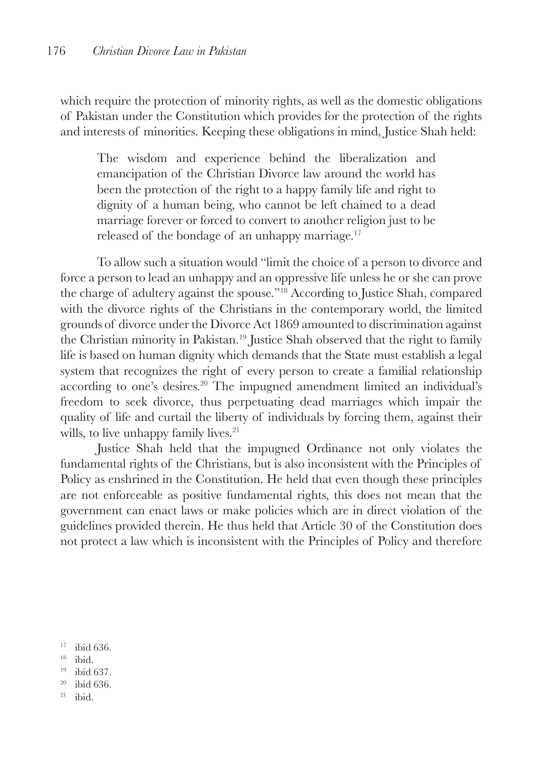which require the protection of minority rights, as well as the domestic obligations of Pakistan under the Constitution which provides for the protection of the rights and interests of minorities. Keeping these obligations in mind, Justice Shah held:

The wisdom and experience behind the liberalization and emancipation of the Christian Divorce law around the world has been the protection of the right to a happy family life and right to dignity of a human being, who cannot be left chained to a dead marriage forever or forced to convert to another religion just to be released of the bondage of an unhappy marriage.<sup>17</sup>

To allow such a situation would "limit the choice of a person to divorce and force a person to lead an unhappy and an oppressive life unless he or she can prove the charge of adultery against the spouse."18 According to Justice Shah, compared with the divorce rights of the Christians in the contemporary world, the limited grounds of divorce under the Divorce Act 1869 amounted to discrimination against the Christian minority in Pakistan.19 Justice Shah observed that the right to family life is based on human dignity which demands that the State must establish a legal system that recognizes the right of every person to create a familial relationship according to one's desires.<sup>20</sup> The impugned amendment limited an individual's freedom to seek divorce, thus perpetuating dead marriages which impair the quality of life and curtail the liberty of individuals by forcing them, against their wills, to live unhappy family lives.<sup>21</sup>

Justice Shah held that the impugned Ordinance not only violates the fundamental rights of the Christians, but is also inconsistent with the Principles of Policy as enshrined in the Constitution. He held that even though these principles are not enforceable as positive fundamental rights, this does not mean that the government can enact laws or make policies which are in direct violation of the guidelines provided therein. He thus held that Article 30 of the Constitution does not protect a law which is inconsistent with the Principles of Policy and therefore

<sup>17</sup> ibid 636.

- 
- <sup>18</sup> ibid.<br><sup>19</sup> ibid 637.
- $20$  ibid 636.
- $21$  ibid.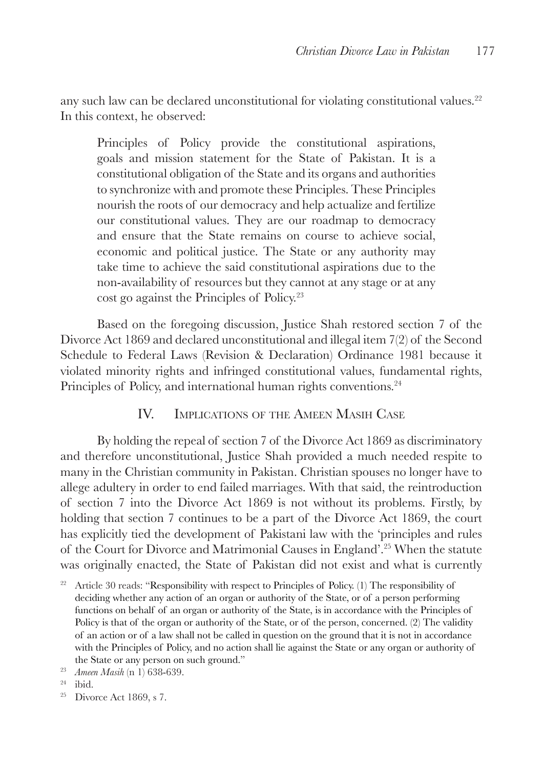any such law can be declared unconstitutional for violating constitutional values.<sup>22</sup> In this context, he observed:

Principles of Policy provide the constitutional aspirations, goals and mission statement for the State of Pakistan. It is a constitutional obligation of the State and its organs and authorities to synchronize with and promote these Principles. These Principles nourish the roots of our democracy and help actualize and fertilize our constitutional values. They are our roadmap to democracy and ensure that the State remains on course to achieve social, economic and political justice. The State or any authority may take time to achieve the said constitutional aspirations due to the non-availability of resources but they cannot at any stage or at any cost go against the Principles of Policy.23

Based on the foregoing discussion, Justice Shah restored section 7 of the Divorce Act 1869 and declared unconstitutional and illegal item 7(2) of the Second Schedule to Federal Laws (Revision & Declaration) Ordinance 1981 because it violated minority rights and infringed constitutional values, fundamental rights, Principles of Policy, and international human rights conventions.<sup>24</sup>

## IV. Implications of the Ameen Masih Case

By holding the repeal of section 7 of the Divorce Act 1869 as discriminatory and therefore unconstitutional, Justice Shah provided a much needed respite to many in the Christian community in Pakistan. Christian spouses no longer have to allege adultery in order to end failed marriages. With that said, the reintroduction of section 7 into the Divorce Act 1869 is not without its problems. Firstly, by holding that section 7 continues to be a part of the Divorce Act 1869, the court has explicitly tied the development of Pakistani law with the 'principles and rules of the Court for Divorce and Matrimonial Causes in England'.25 When the statute was originally enacted, the State of Pakistan did not exist and what is currently

<sup>25</sup> Divorce Act 1869, s 7.

<sup>&</sup>lt;sup>22</sup> Article 30 reads: "Responsibility with respect to Principles of Policy. (1) The responsibility of deciding whether any action of an organ or authority of the State, or of a person performing functions on behalf of an organ or authority of the State, is in accordance with the Principles of Policy is that of the organ or authority of the State, or of the person, concerned. (2) The validity of an action or of a law shall not be called in question on the ground that it is not in accordance with the Principles of Policy, and no action shall lie against the State or any organ or authority of the State or any person on such ground."

<sup>23</sup> *Ameen Masih* (n 1) 638-639.

 $24$  ibid.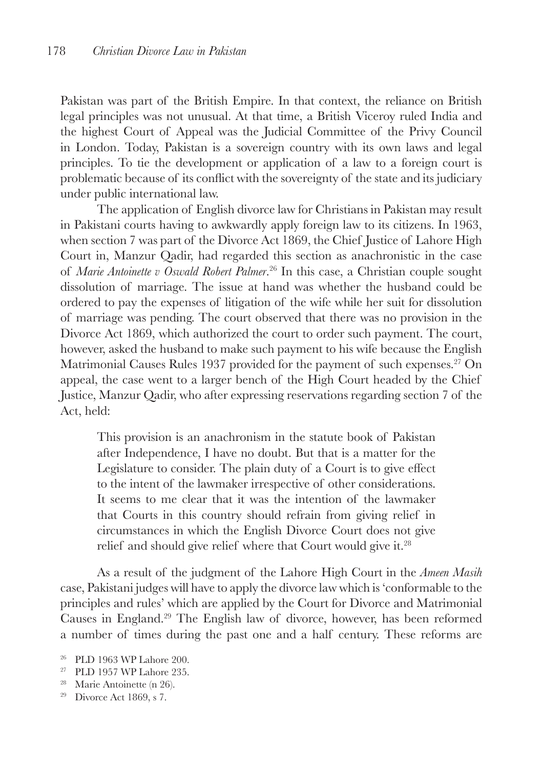Pakistan was part of the British Empire. In that context, the reliance on British legal principles was not unusual. At that time, a British Viceroy ruled India and the highest Court of Appeal was the Judicial Committee of the Privy Council in London. Today, Pakistan is a sovereign country with its own laws and legal principles. To tie the development or application of a law to a foreign court is problematic because of its conflict with the sovereignty of the state and its judiciary under public international law.

The application of English divorce law for Christians in Pakistan may result in Pakistani courts having to awkwardly apply foreign law to its citizens. In 1963, when section 7 was part of the Divorce Act 1869, the Chief Justice of Lahore High Court in, Manzur Qadir, had regarded this section as anachronistic in the case of *Marie Antoinette v Oswald Robert Palmer*. 26 In this case, a Christian couple sought dissolution of marriage. The issue at hand was whether the husband could be ordered to pay the expenses of litigation of the wife while her suit for dissolution of marriage was pending. The court observed that there was no provision in the Divorce Act 1869, which authorized the court to order such payment. The court, however, asked the husband to make such payment to his wife because the English Matrimonial Causes Rules 1937 provided for the payment of such expenses.<sup>27</sup> On appeal, the case went to a larger bench of the High Court headed by the Chief Justice, Manzur Qadir, who after expressing reservations regarding section 7 of the Act, held:

This provision is an anachronism in the statute book of Pakistan after Independence, I have no doubt. But that is a matter for the Legislature to consider. The plain duty of a Court is to give effect to the intent of the lawmaker irrespective of other considerations. It seems to me clear that it was the intention of the lawmaker that Courts in this country should refrain from giving relief in circumstances in which the English Divorce Court does not give relief and should give relief where that Court would give it.28

As a result of the judgment of the Lahore High Court in the *Ameen Masih* case, Pakistani judges will have to apply the divorce law which is 'conformable to the principles and rules' which are applied by the Court for Divorce and Matrimonial Causes in England.29 The English law of divorce, however, has been reformed a number of times during the past one and a half century. These reforms are

- <sup>27</sup> PLD 1957 WP Lahore 235.
- <sup>28</sup> Marie Antoinette (n 26).
- <sup>29</sup> Divorce Act 1869, s 7.

<sup>26</sup> PLD 1963 WP Lahore 200.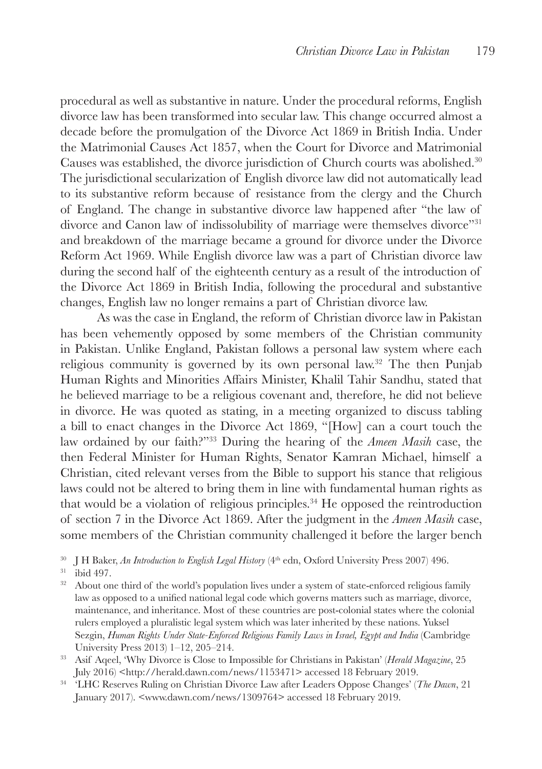procedural as well as substantive in nature. Under the procedural reforms, English divorce law has been transformed into secular law. This change occurred almost a decade before the promulgation of the Divorce Act 1869 in British India. Under the Matrimonial Causes Act 1857, when the Court for Divorce and Matrimonial Causes was established, the divorce jurisdiction of Church courts was abolished.30 The jurisdictional secularization of English divorce law did not automatically lead to its substantive reform because of resistance from the clergy and the Church of England. The change in substantive divorce law happened after "the law of divorce and Canon law of indissolubility of marriage were themselves divorce"<sup>31</sup> and breakdown of the marriage became a ground for divorce under the Divorce Reform Act 1969. While English divorce law was a part of Christian divorce law during the second half of the eighteenth century as a result of the introduction of the Divorce Act 1869 in British India, following the procedural and substantive changes, English law no longer remains a part of Christian divorce law.

As was the case in England, the reform of Christian divorce law in Pakistan has been vehemently opposed by some members of the Christian community in Pakistan. Unlike England, Pakistan follows a personal law system where each religious community is governed by its own personal law.32 The then Punjab Human Rights and Minorities Affairs Minister, Khalil Tahir Sandhu, stated that he believed marriage to be a religious covenant and, therefore, he did not believe in divorce. He was quoted as stating, in a meeting organized to discuss tabling a bill to enact changes in the Divorce Act 1869, "[How] can a court touch the law ordained by our faith?"33 During the hearing of the *Ameen Masih* case, the then Federal Minister for Human Rights, Senator Kamran Michael, himself a Christian, cited relevant verses from the Bible to support his stance that religious laws could not be altered to bring them in line with fundamental human rights as that would be a violation of religious principles.<sup>34</sup> He opposed the reintroduction of section 7 in the Divorce Act 1869. After the judgment in the *Ameen Masih* case, some members of the Christian community challenged it before the larger bench

 $^{30}$  J H Baker,  $An\ Introduction$  to English Legal History ( $4^{\rm th}$ edn, Oxford University Press 2007) 496. ibid 497.

<sup>32</sup> About one third of the world's population lives under a system of state-enforced religious family law as opposed to a unified national legal code which governs matters such as marriage, divorce, maintenance, and inheritance. Most of these countries are post-colonial states where the colonial rulers employed a pluralistic legal system which was later inherited by these nations. Yuksel Sezgin, *Human Rights Under State-Enforced Religious Family Laws in Israel, Egypt and India* (Cambridge University Press 2013) 1–12, 205–214.

- <sup>33</sup> Asif Aqeel, 'Why Divorce is Close to Impossible for Christians in Pakistan' (*Herald Magazine*, 25 July 2016) <http://herald.dawn.com/news/1153471> accessed 18 February 2019.
- <sup>34</sup> 'LHC Reserves Ruling on Christian Divorce Law after Leaders Oppose Changes' (*The Dawn*, 21 January 2017). <www.dawn.com/news/1309764> accessed 18 February 2019.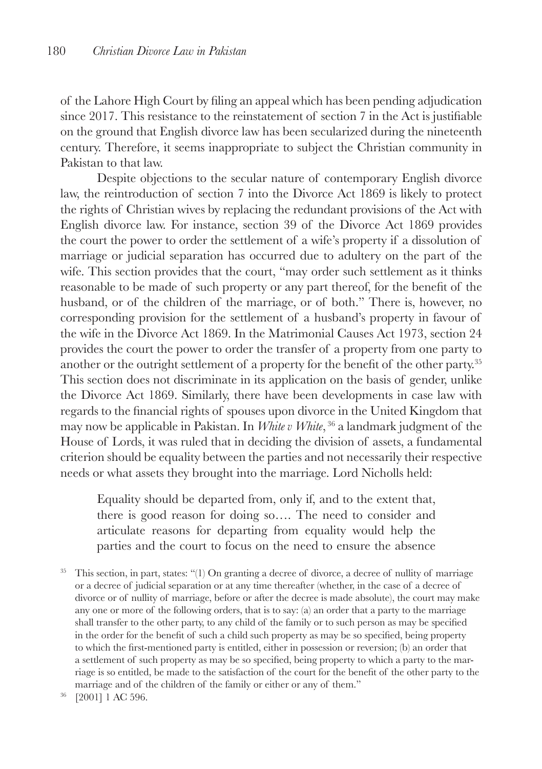of the Lahore High Court by filing an appeal which has been pending adjudication since 2017. This resistance to the reinstatement of section 7 in the Act is justifiable on the ground that English divorce law has been secularized during the nineteenth century. Therefore, it seems inappropriate to subject the Christian community in Pakistan to that law.

Despite objections to the secular nature of contemporary English divorce law, the reintroduction of section 7 into the Divorce Act 1869 is likely to protect the rights of Christian wives by replacing the redundant provisions of the Act with English divorce law. For instance, section 39 of the Divorce Act 1869 provides the court the power to order the settlement of a wife's property if a dissolution of marriage or judicial separation has occurred due to adultery on the part of the wife. This section provides that the court, "may order such settlement as it thinks reasonable to be made of such property or any part thereof, for the benefit of the husband, or of the children of the marriage, or of both." There is, however, no corresponding provision for the settlement of a husband's property in favour of the wife in the Divorce Act 1869. In the Matrimonial Causes Act 1973, section 24 provides the court the power to order the transfer of a property from one party to another or the outright settlement of a property for the benefit of the other party.<sup>35</sup> This section does not discriminate in its application on the basis of gender, unlike the Divorce Act 1869. Similarly, there have been developments in case law with regards to the financial rights of spouses upon divorce in the United Kingdom that may now be applicable in Pakistan. In *White v White*, 36 a landmark judgment of the House of Lords, it was ruled that in deciding the division of assets, a fundamental criterion should be equality between the parties and not necessarily their respective needs or what assets they brought into the marriage. Lord Nicholls held:

Equality should be departed from, only if, and to the extent that, there is good reason for doing so…. The need to consider and articulate reasons for departing from equality would help the parties and the court to focus on the need to ensure the absence

<sup>35</sup> This section, in part, states: "(1) On granting a decree of divorce, a decree of nullity of marriage or a decree of judicial separation or at any time thereafter (whether, in the case of a decree of divorce or of nullity of marriage, before or after the decree is made absolute), the court may make any one or more of the following orders, that is to say: (a) an order that a party to the marriage shall transfer to the other party, to any child of the family or to such person as may be specified in the order for the benefit of such a child such property as may be so specified, being property to which the first-mentioned party is entitled, either in possession or reversion; (b) an order that a settlement of such property as may be so specified, being property to which a party to the marriage is so entitled, be made to the satisfaction of the court for the benefit of the other party to the marriage and of the children of the family or either or any of them."

<sup>36</sup> [2001] 1 AC 596.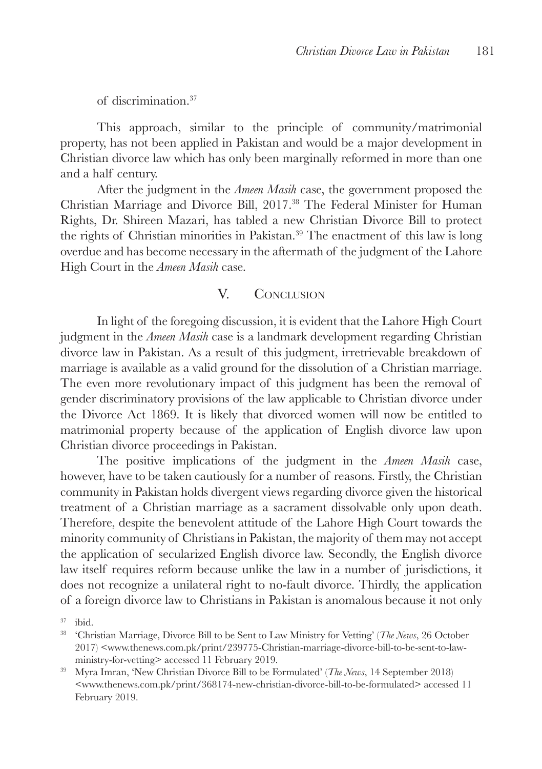of discrimination.37

This approach, similar to the principle of community/matrimonial property, has not been applied in Pakistan and would be a major development in Christian divorce law which has only been marginally reformed in more than one and a half century.

After the judgment in the *Ameen Masih* case, the government proposed the Christian Marriage and Divorce Bill, 2017.38 The Federal Minister for Human Rights, Dr. Shireen Mazari, has tabled a new Christian Divorce Bill to protect the rights of Christian minorities in Pakistan.39 The enactment of this law is long overdue and has become necessary in the aftermath of the judgment of the Lahore High Court in the *Ameen Masih* case.

# V. CONCLUSION

In light of the foregoing discussion, it is evident that the Lahore High Court judgment in the *Ameen Masih* case is a landmark development regarding Christian divorce law in Pakistan. As a result of this judgment, irretrievable breakdown of marriage is available as a valid ground for the dissolution of a Christian marriage. The even more revolutionary impact of this judgment has been the removal of gender discriminatory provisions of the law applicable to Christian divorce under the Divorce Act 1869. It is likely that divorced women will now be entitled to matrimonial property because of the application of English divorce law upon Christian divorce proceedings in Pakistan.

The positive implications of the judgment in the *Ameen Masih* case, however, have to be taken cautiously for a number of reasons. Firstly, the Christian community in Pakistan holds divergent views regarding divorce given the historical treatment of a Christian marriage as a sacrament dissolvable only upon death. Therefore, despite the benevolent attitude of the Lahore High Court towards the minority community of Christians in Pakistan, the majority of them may not accept the application of secularized English divorce law. Secondly, the English divorce law itself requires reform because unlike the law in a number of jurisdictions, it does not recognize a unilateral right to no-fault divorce. Thirdly, the application of a foreign divorce law to Christians in Pakistan is anomalous because it not only

<sup>37</sup> ibid.

<sup>38</sup> 'Christian Marriage, Divorce Bill to be Sent to Law Ministry for Vetting' (*The News*, 26 October 2017) <www.thenews.com.pk/print/239775-Christian-marriage-divorce-bill-to-be-sent-to-lawministry-for-vetting> accessed 11 February 2019.

<sup>39</sup> Myra Imran, 'New Christian Divorce Bill to be Formulated' (*The News*, 14 September 2018) <www.thenews.com.pk/print/368174-new-christian-divorce-bill-to-be-formulated> accessed 11 February 2019.